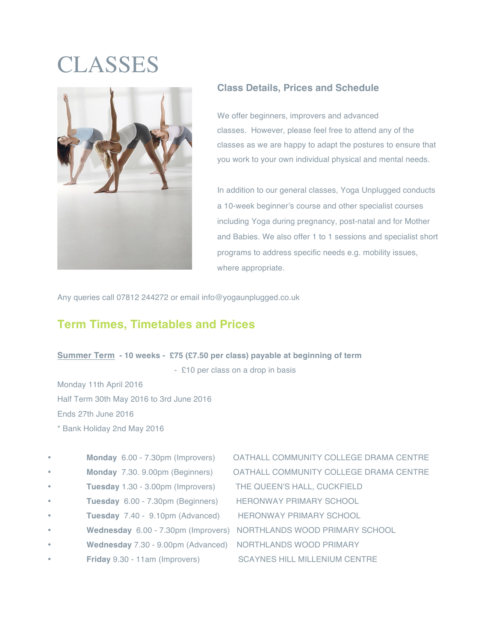# CLASSES



### **Class Details, Prices and Schedule**

We offer beginners, improvers and advanced classes. However, please feel free to attend any of the classes as we are happy to adapt the postures to ensure that you work to your own individual physical and mental needs.

In addition to our general classes, Yoga Unplugged conducts a 10-week beginner's course and other specialist courses including Yoga during pregnancy, post-natal and for Mother and Babies. We also offer 1 to 1 sessions and specialist short programs to address specific needs e.g. mobility issues, where appropriate.

Any queries call 07812 244272 or email info@yogaunplugged.co.uk

## **Term Times, Timetables and Prices**

#### **Summer Term - 10 weeks - £75 (£7.50 per class) payable at beginning of term**

- £10 per class on a drop in basis

Monday 11th April 2016 Half Term 30th May 2016 to 3rd June 2016 Ends 27th June 2016 \* Bank Holiday 2nd May 2016

- 
- 
- **Tuesday** 1.30 3.00pm (Improvers) THE QUEEN'S HALL, CUCKFIELD
- 
- 
- 
- **Wednesday** 7.30 9.00pm (Advanced) NORTHLANDS WOOD PRIMARY
- **Friday** 9.30 11am (Improvers) SCAYNES HILL MILLENIUM CENTRE

• **Monday** 6.00 - 7.30pm (Improvers) OATHALL COMMUNITY COLLEGE DRAMA CENTRE • **Monday** 7.30. 9.00pm (Beginners) OATHALL COMMUNITY COLLEGE DRAMA CENTRE • **Tuesday** 6.00 - 7.30pm (Beginners) HERONWAY PRIMARY SCHOOL • **Tuesday** 7.40 - 9.10pm (Advanced) HERONWAY PRIMARY SCHOOL • **Wednesday** 6.00 - 7.30pm (Improvers) NORTHLANDS WOOD PRIMARY SCHOOL